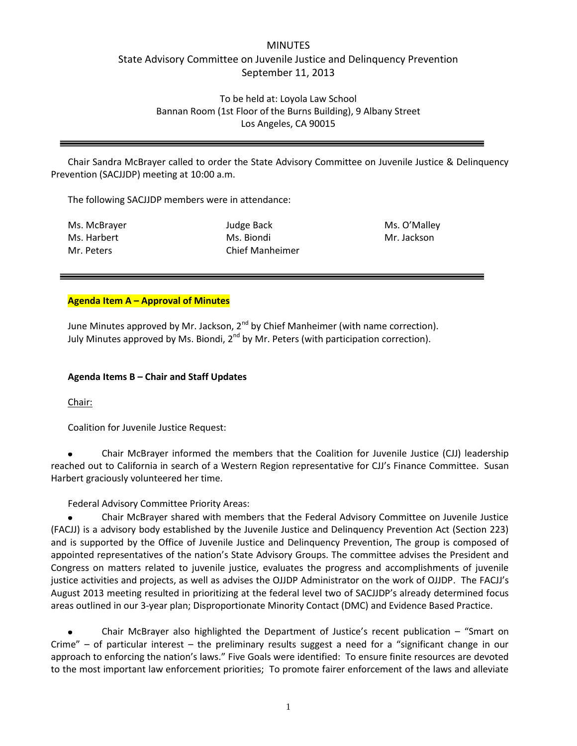# MINUTES State Advisory Committee on Juvenile Justice and Delinquency Prevention September 11, 2013

To be held at: Loyola Law School Bannan Room (1st Floor of the Burns Building), 9 Albany Street Los Angeles, CA 90015

Chair Sandra McBrayer called to order the State Advisory Committee on Juvenile Justice & Delinquency Prevention (SACJJDP) meeting at 10:00 a.m.

The following SACJJDP members were in attendance:

Ms. McBrayer Ms. Harbert Mr. Peters

Judge Back Ms. Biondi Chief Manheimer Ms. O'Malley Mr. Jackson

#### **Agenda Item A – Approval of Minutes**

June Minutes approved by Mr. Jackson,  $2^{nd}$  by Chief Manheimer (with name correction). July Minutes approved by Ms. Biondi,  $2^{nd}$  by Mr. Peters (with participation correction).

#### **Agenda Items B – Chair and Staff Updates**

Chair:

Coalition for Juvenile Justice Request:

Chair McBrayer informed the members that the Coalition for Juvenile Justice (CJJ) leadership reached out to California in search of a Western Region representative for CJJ's Finance Committee. Susan Harbert graciously volunteered her time.

Federal Advisory Committee Priority Areas:

Chair McBrayer shared with members that the Federal Advisory Committee on Juvenile Justice (FACJJ) is a advisory body established by the Juvenile Justice and Delinquency Prevention Act (Section 223) and is supported by the Office of Juvenile Justice and Delinquency Prevention, The group is composed of appointed representatives of the nation's State Advisory Groups. The committee advises the President and Congress on matters related to juvenile justice, evaluates the progress and accomplishments of juvenile justice activities and projects, as well as advises the OJJDP Administrator on the work of OJJDP. The FACJJ's August 2013 meeting resulted in prioritizing at the federal level two of SACJJDP's already determined focus areas outlined in our 3-year plan; Disproportionate Minority Contact (DMC) and Evidence Based Practice.

Chair McBrayer also highlighted the Department of Justice's recent publication – "Smart on Crime" – of particular interest – the preliminary results suggest a need for a "significant change in our approach to enforcing the nation's laws." Five Goals were identified: To ensure finite resources are devoted to the most important law enforcement priorities; To promote fairer enforcement of the laws and alleviate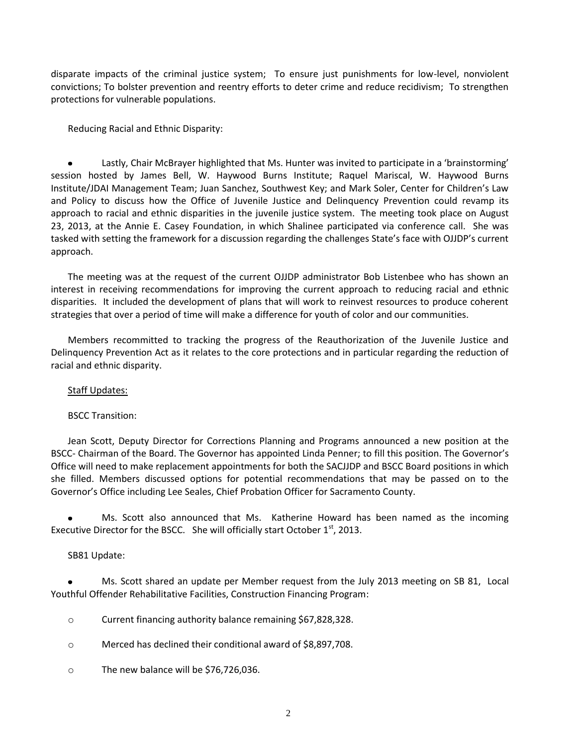disparate impacts of the criminal justice system; To ensure just punishments for low-level, nonviolent convictions; To bolster prevention and reentry efforts to deter crime and reduce recidivism; To strengthen protections for vulnerable populations.

Reducing Racial and Ethnic Disparity:

Lastly, Chair McBrayer highlighted that Ms. Hunter was invited to participate in a 'brainstorming' session hosted by James Bell, W. Haywood Burns Institute; Raquel Mariscal, W. Haywood Burns Institute/JDAI Management Team; Juan Sanchez, Southwest Key; and Mark Soler, Center for Children's Law and Policy to discuss how the Office of Juvenile Justice and Delinquency Prevention could revamp its approach to racial and ethnic disparities in the juvenile justice system. The meeting took place on August 23, 2013, at the Annie E. Casey Foundation, in which Shalinee participated via conference call. She was tasked with setting the framework for a discussion regarding the challenges State's face with OJJDP's current approach.

The meeting was at the request of the current OJJDP administrator Bob Listenbee who has shown an interest in receiving recommendations for improving the current approach to reducing racial and ethnic disparities. It included the development of plans that will work to reinvest resources to produce coherent strategies that over a period of time will make a difference for youth of color and our communities.

Members recommitted to tracking the progress of the Reauthorization of the Juvenile Justice and Delinquency Prevention Act as it relates to the core protections and in particular regarding the reduction of racial and ethnic disparity.

Staff Updates:

BSCC Transition:

Jean Scott, Deputy Director for Corrections Planning and Programs announced a new position at the BSCC- Chairman of the Board. The Governor has appointed Linda Penner; to fill this position. The Governor's Office will need to make replacement appointments for both the SACJJDP and BSCC Board positions in which she filled. Members discussed options for potential recommendations that may be passed on to the Governor's Office including Lee Seales, Chief Probation Officer for Sacramento County.

Ms. Scott also announced that Ms. Katherine Howard has been named as the incoming Executive Director for the BSCC. She will officially start October  $1<sup>st</sup>$ , 2013.

# SB81 Update:

Ms. Scott shared an update per Member request from the July 2013 meeting on SB 81, Local Youthful Offender Rehabilitative Facilities, Construction Financing Program:

- o Current financing authority balance remaining \$67,828,328.
- o Merced has declined their conditional award of \$8,897,708.
- o The new balance will be \$76,726,036.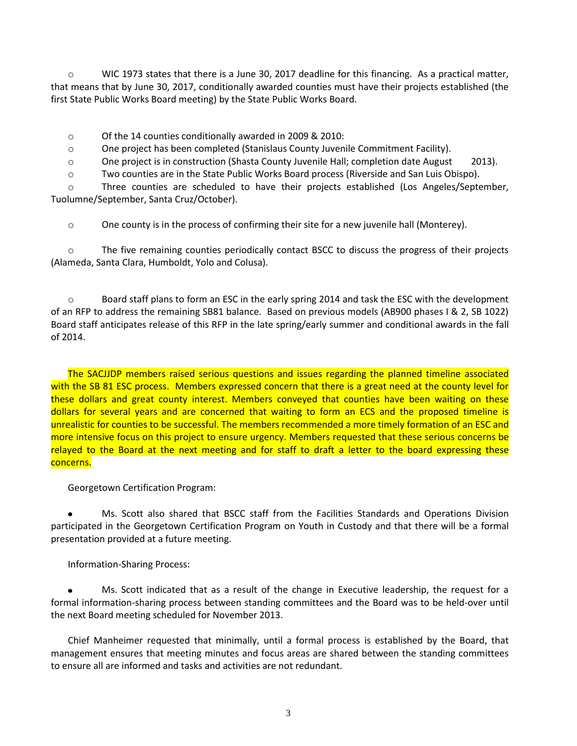$\circ$  WIC 1973 states that there is a June 30, 2017 deadline for this financing. As a practical matter, that means that by June 30, 2017, conditionally awarded counties must have their projects established (the first State Public Works Board meeting) by the State Public Works Board.

o Of the 14 counties conditionally awarded in 2009 & 2010:

o One project has been completed (Stanislaus County Juvenile Commitment Facility).

o One project is in construction (Shasta County Juvenile Hall; completion date August 2013).

o Two counties are in the State Public Works Board process (Riverside and San Luis Obispo).

o Three counties are scheduled to have their projects established (Los Angeles/September, Tuolumne/September, Santa Cruz/October).

 $\circ$  One county is in the process of confirming their site for a new juvenile hall (Monterey).

o The five remaining counties periodically contact BSCC to discuss the progress of their projects (Alameda, Santa Clara, Humboldt, Yolo and Colusa).

o Board staff plans to form an ESC in the early spring 2014 and task the ESC with the development of an RFP to address the remaining SB81 balance. Based on previous models (AB900 phases I & 2, SB 1022) Board staff anticipates release of this RFP in the late spring/early summer and conditional awards in the fall of 2014.

The SACJJDP members raised serious questions and issues regarding the planned timeline associated with the SB 81 ESC process. Members expressed concern that there is a great need at the county level for these dollars and great county interest. Members conveyed that counties have been waiting on these dollars for several years and are concerned that waiting to form an ECS and the proposed timeline is unrealistic for counties to be successful. The members recommended a more timely formation of an ESC and more intensive focus on this project to ensure urgency. Members requested that these serious concerns be relayed to the Board at the next meeting and for staff to draft a letter to the board expressing these concerns.

Georgetown Certification Program:

Ms. Scott also shared that BSCC staff from the Facilities Standards and Operations Division participated in the Georgetown Certification Program on Youth in Custody and that there will be a formal presentation provided at a future meeting.

Information-Sharing Process:

Ms. Scott indicated that as a result of the change in Executive leadership, the request for a formal information-sharing process between standing committees and the Board was to be held-over until the next Board meeting scheduled for November 2013.

Chief Manheimer requested that minimally, until a formal process is established by the Board, that management ensures that meeting minutes and focus areas are shared between the standing committees to ensure all are informed and tasks and activities are not redundant.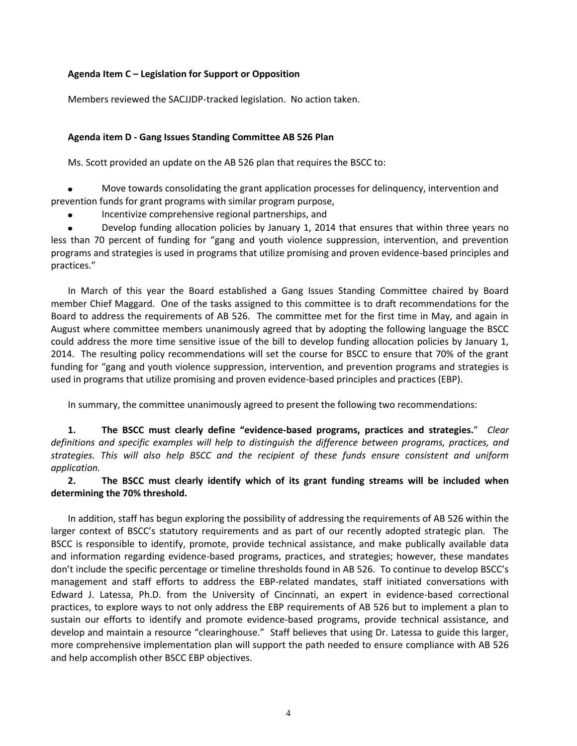# **Agenda Item C – Legislation for Support or Opposition**

Members reviewed the SACJJDP-tracked legislation. No action taken.

#### **Agenda item D - Gang Issues Standing Committee AB 526 Plan**

Ms. Scott provided an update on the AB 526 plan that requires the BSCC to:

 $\bullet$ Move towards consolidating the grant application processes for delinquency, intervention and prevention funds for grant programs with similar program purpose,

Incentivize comprehensive regional partnerships, and

Develop funding allocation policies by January 1, 2014 that ensures that within three years no less than 70 percent of funding for "gang and youth violence suppression, intervention, and prevention programs and strategies is used in programs that utilize promising and proven evidence-based principles and practices."

In March of this year the Board established a Gang Issues Standing Committee chaired by Board member Chief Maggard. One of the tasks assigned to this committee is to draft recommendations for the Board to address the requirements of AB 526. The committee met for the first time in May, and again in August where committee members unanimously agreed that by adopting the following language the BSCC could address the more time sensitive issue of the bill to develop funding allocation policies by January 1, 2014. The resulting policy recommendations will set the course for BSCC to ensure that 70% of the grant funding for "gang and youth violence suppression, intervention, and prevention programs and strategies is used in programs that utilize promising and proven evidence-based principles and practices (EBP).

In summary, the committee unanimously agreed to present the following two recommendations:

**1. The BSCC must clearly define "evidence-based programs, practices and strategies.**" *Clear definitions and specific examples will help to distinguish the difference between programs, practices, and strategies. This will also help BSCC and the recipient of these funds ensure consistent and uniform application.* 

**2. The BSCC must clearly identify which of its grant funding streams will be included when determining the 70% threshold.** 

In addition, staff has begun exploring the possibility of addressing the requirements of AB 526 within the larger context of BSCC's statutory requirements and as part of our recently adopted strategic plan. The BSCC is responsible to identify, promote, provide technical assistance, and make publically available data and information regarding evidence-based programs, practices, and strategies; however, these mandates don't include the specific percentage or timeline thresholds found in AB 526. To continue to develop BSCC's management and staff efforts to address the EBP-related mandates, staff initiated conversations with Edward J. Latessa, Ph.D. from the University of Cincinnati, an expert in evidence-based correctional practices, to explore ways to not only address the EBP requirements of AB 526 but to implement a plan to sustain our efforts to identify and promote evidence-based programs, provide technical assistance, and develop and maintain a resource "clearinghouse." Staff believes that using Dr. Latessa to guide this larger, more comprehensive implementation plan will support the path needed to ensure compliance with AB 526 and help accomplish other BSCC EBP objectives.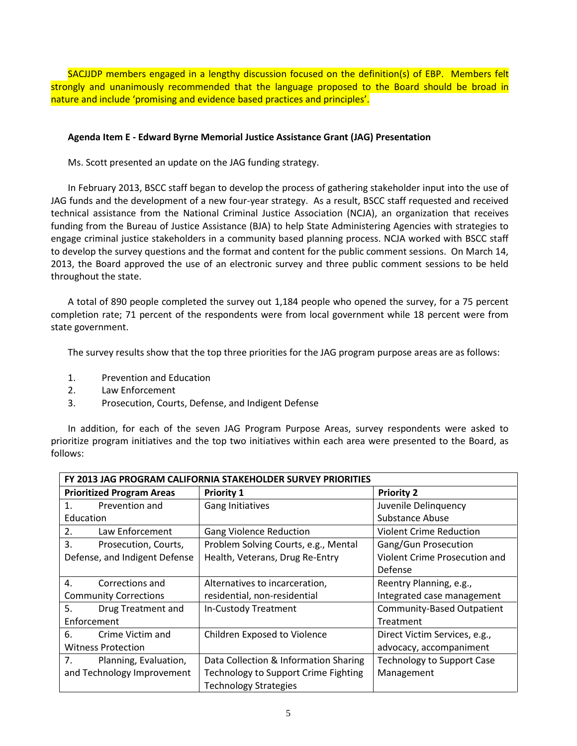SACJJDP members engaged in a lengthy discussion focused on the definition(s) of EBP. Members felt strongly and unanimously recommended that the language proposed to the Board should be broad in nature and include 'promising and evidence based practices and principles'.

# **Agenda Item E - Edward Byrne Memorial Justice Assistance Grant (JAG) Presentation**

Ms. Scott presented an update on the JAG funding strategy.

In February 2013, BSCC staff began to develop the process of gathering stakeholder input into the use of JAG funds and the development of a new four-year strategy. As a result, BSCC staff requested and received technical assistance from the National Criminal Justice Association (NCJA), an organization that receives funding from the Bureau of Justice Assistance (BJA) to help State Administering Agencies with strategies to engage criminal justice stakeholders in a community based planning process. NCJA worked with BSCC staff to develop the survey questions and the format and content for the public comment sessions. On March 14, 2013, the Board approved the use of an electronic survey and three public comment sessions to be held throughout the state.

A total of 890 people completed the survey out 1,184 people who opened the survey, for a 75 percent completion rate; 71 percent of the respondents were from local government while 18 percent were from state government.

The survey results show that the top three priorities for the JAG program purpose areas are as follows:

- 1. Prevention and Education
- 2. Law Enforcement
- 3. Prosecution, Courts, Defense, and Indigent Defense

In addition, for each of the seven JAG Program Purpose Areas, survey respondents were asked to prioritize program initiatives and the top two initiatives within each area were presented to the Board, as follows:

| FY 2013 JAG PROGRAM CALIFORNIA STAKEHOLDER SURVEY PRIORITIES |                                             |                                   |  |
|--------------------------------------------------------------|---------------------------------------------|-----------------------------------|--|
| <b>Prioritized Program Areas</b>                             | <b>Priority 1</b>                           | <b>Priority 2</b>                 |  |
| $\mathbf{1}$ .<br>Prevention and                             | Gang Initiatives                            | Juvenile Delinquency              |  |
| Education                                                    |                                             | Substance Abuse                   |  |
| 2.<br>Law Enforcement                                        | <b>Gang Violence Reduction</b>              | <b>Violent Crime Reduction</b>    |  |
| 3.<br>Prosecution, Courts,                                   | Problem Solving Courts, e.g., Mental        | Gang/Gun Prosecution              |  |
| Defense, and Indigent Defense                                | Health, Veterans, Drug Re-Entry             | Violent Crime Prosecution and     |  |
|                                                              |                                             | Defense                           |  |
| $\mathbf{4}$ .<br>Corrections and                            | Alternatives to incarceration,              | Reentry Planning, e.g.,           |  |
| <b>Community Corrections</b>                                 | residential, non-residential                | Integrated case management        |  |
| 5.<br>Drug Treatment and                                     | In-Custody Treatment                        | <b>Community-Based Outpatient</b> |  |
| Enforcement                                                  |                                             | Treatment                         |  |
| 6.<br>Crime Victim and                                       | Children Exposed to Violence                | Direct Victim Services, e.g.,     |  |
| <b>Witness Protection</b>                                    |                                             | advocacy, accompaniment           |  |
| 7.<br>Planning, Evaluation,                                  | Data Collection & Information Sharing       | <b>Technology to Support Case</b> |  |
| and Technology Improvement                                   | <b>Technology to Support Crime Fighting</b> | Management                        |  |
|                                                              | <b>Technology Strategies</b>                |                                   |  |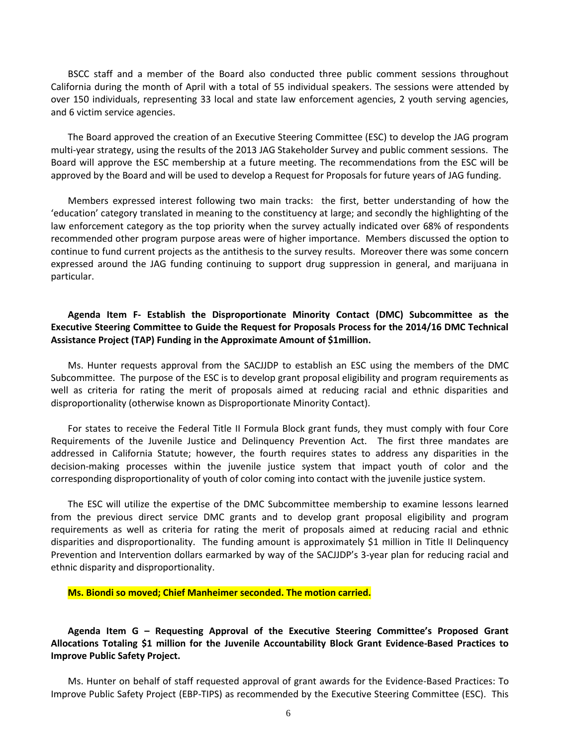BSCC staff and a member of the Board also conducted three public comment sessions throughout California during the month of April with a total of 55 individual speakers. The sessions were attended by over 150 individuals, representing 33 local and state law enforcement agencies, 2 youth serving agencies, and 6 victim service agencies.

The Board approved the creation of an Executive Steering Committee (ESC) to develop the JAG program multi-year strategy, using the results of the 2013 JAG Stakeholder Survey and public comment sessions. The Board will approve the ESC membership at a future meeting. The recommendations from the ESC will be approved by the Board and will be used to develop a Request for Proposals for future years of JAG funding.

Members expressed interest following two main tracks: the first, better understanding of how the 'education' category translated in meaning to the constituency at large; and secondly the highlighting of the law enforcement category as the top priority when the survey actually indicated over 68% of respondents recommended other program purpose areas were of higher importance. Members discussed the option to continue to fund current projects as the antithesis to the survey results. Moreover there was some concern expressed around the JAG funding continuing to support drug suppression in general, and marijuana in particular.

# **Agenda Item F- Establish the Disproportionate Minority Contact (DMC) Subcommittee as the Executive Steering Committee to Guide the Request for Proposals Process for the 2014/16 DMC Technical Assistance Project (TAP) Funding in the Approximate Amount of \$1million.**

Ms. Hunter requests approval from the SACJJDP to establish an ESC using the members of the DMC Subcommittee. The purpose of the ESC is to develop grant proposal eligibility and program requirements as well as criteria for rating the merit of proposals aimed at reducing racial and ethnic disparities and disproportionality (otherwise known as Disproportionate Minority Contact).

For states to receive the Federal Title II Formula Block grant funds, they must comply with four Core Requirements of the Juvenile Justice and Delinquency Prevention Act. The first three mandates are addressed in California Statute; however, the fourth requires states to address any disparities in the decision-making processes within the juvenile justice system that impact youth of color and the corresponding disproportionality of youth of color coming into contact with the juvenile justice system.

The ESC will utilize the expertise of the DMC Subcommittee membership to examine lessons learned from the previous direct service DMC grants and to develop grant proposal eligibility and program requirements as well as criteria for rating the merit of proposals aimed at reducing racial and ethnic disparities and disproportionality. The funding amount is approximately \$1 million in Title II Delinquency Prevention and Intervention dollars earmarked by way of the SACJJDP's 3-year plan for reducing racial and ethnic disparity and disproportionality.

**Ms. Biondi so moved; Chief Manheimer seconded. The motion carried.**

**Agenda Item G – Requesting Approval of the Executive Steering Committee's Proposed Grant Allocations Totaling \$1 million for the Juvenile Accountability Block Grant Evidence-Based Practices to Improve Public Safety Project.** 

Ms. Hunter on behalf of staff requested approval of grant awards for the Evidence-Based Practices: To Improve Public Safety Project (EBP-TIPS) as recommended by the Executive Steering Committee (ESC). This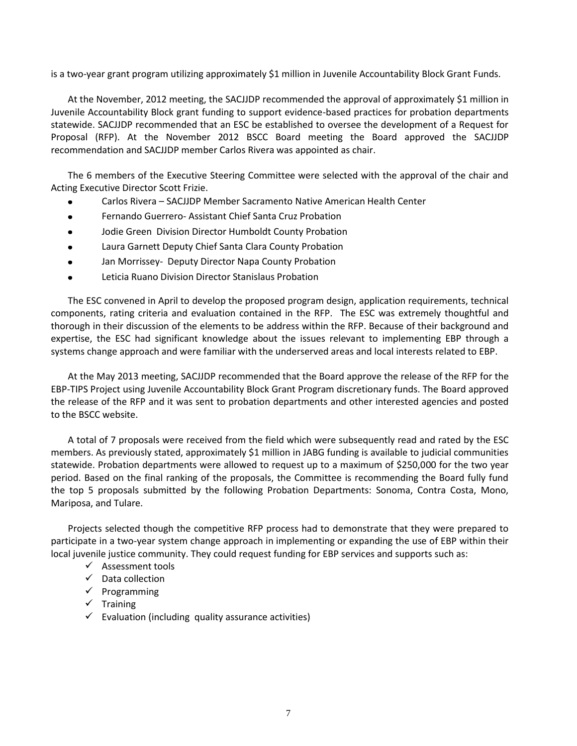is a two-year grant program utilizing approximately \$1 million in Juvenile Accountability Block Grant Funds.

At the November, 2012 meeting, the SACJJDP recommended the approval of approximately \$1 million in Juvenile Accountability Block grant funding to support evidence-based practices for probation departments statewide. SACJJDP recommended that an ESC be established to oversee the development of a Request for Proposal (RFP). At the November 2012 BSCC Board meeting the Board approved the SACJJDP recommendation and SACJJDP member Carlos Rivera was appointed as chair.

The 6 members of the Executive Steering Committee were selected with the approval of the chair and Acting Executive Director Scott Frizie.

- Carlos Rivera SACJJDP Member Sacramento Native American Health Center
- Fernando Guerrero- Assistant Chief Santa Cruz Probation  $\bullet$
- Jodie Green Division Director Humboldt County Probation
- $\bullet$ Laura Garnett Deputy Chief Santa Clara County Probation
- Jan Morrissey- Deputy Director Napa County Probation  $\bullet$
- Leticia Ruano Division Director Stanislaus Probation

The ESC convened in April to develop the proposed program design, application requirements, technical components, rating criteria and evaluation contained in the RFP. The ESC was extremely thoughtful and thorough in their discussion of the elements to be address within the RFP. Because of their background and expertise, the ESC had significant knowledge about the issues relevant to implementing EBP through a systems change approach and were familiar with the underserved areas and local interests related to EBP.

At the May 2013 meeting, SACJJDP recommended that the Board approve the release of the RFP for the EBP-TIPS Project using Juvenile Accountability Block Grant Program discretionary funds. The Board approved the release of the RFP and it was sent to probation departments and other interested agencies and posted to the BSCC website.

A total of 7 proposals were received from the field which were subsequently read and rated by the ESC members. As previously stated, approximately \$1 million in JABG funding is available to judicial communities statewide. Probation departments were allowed to request up to a maximum of \$250,000 for the two year period. Based on the final ranking of the proposals, the Committee is recommending the Board fully fund the top 5 proposals submitted by the following Probation Departments: Sonoma, Contra Costa, Mono, Mariposa, and Tulare.

Projects selected though the competitive RFP process had to demonstrate that they were prepared to participate in a two-year system change approach in implementing or expanding the use of EBP within their local juvenile justice community. They could request funding for EBP services and supports such as:

- $\checkmark$  Assessment tools
- $\checkmark$  Data collection
- $\checkmark$  Programming
- $\checkmark$  Training
- $\checkmark$  Evaluation (including quality assurance activities)